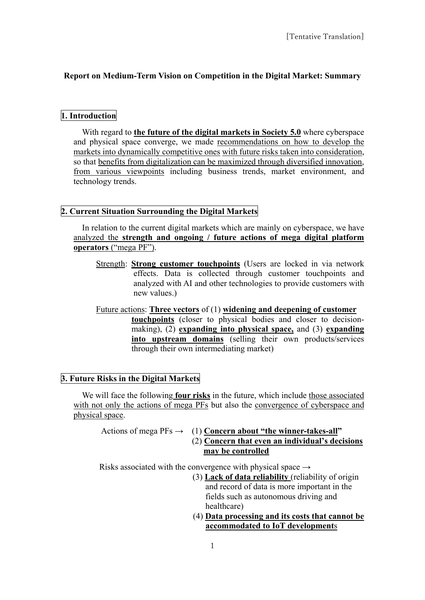# **Report on Medium-Term Vision on Competition in the Digital Market: Summary**

### **1. Introduction**

With regard to **the future of the digital markets in Society 5.0** where cyberspace and physical space converge, we made recommendations on how to develop the markets into dynamically competitive ones with future risks taken into consideration, so that benefits from digitalization can be maximized through diversified innovation, from various viewpoints including business trends, market environment, and technology trends.

### **2. Current Situation Surrounding the Digital Markets**

In relation to the current digital markets which are mainly on cyberspace, we have analyzed the **strength and ongoing / future actions of mega digital platform operators** ("mega PF").

- Strength: **Strong customer touchpoints** (Users are locked in via network effects. Data is collected through customer touchpoints and analyzed with AI and other technologies to provide customers with new values.)
- Future actions: **Three vectors** of (1) **widening and deepening of customer touchpoints** (closer to physical bodies and closer to decisionmaking), (2) **expanding into physical space,** and (3) **expanding into upstream domains** (selling their own products/services through their own intermediating market)

### **3. Future Risks in the Digital Markets**

We will face the following **four risks** in the future, which include those associated with not only the actions of mega PFs but also the convergence of cyberspace and physical space.

Actions of mega PFs → (1) **Concern about "the winner-takes-all"** (2) **Concern that even an individual's decisions may be controlled**

Risks associated with the convergence with physical space  $\rightarrow$ 

- (3) **Lack of data reliability** (reliability of origin and record of data is more important in the fields such as autonomous driving and healthcare)
- (4) **Data processing and its costs that cannot be accommodated to IoT development**s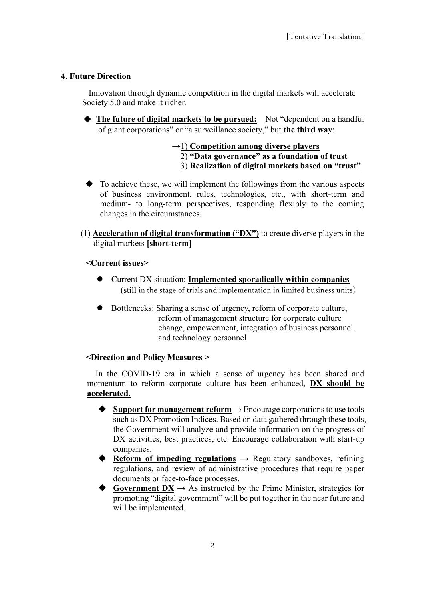## **4. Future Direction**

Innovation through dynamic competition in the digital markets will accelerate Society 5.0 and make it richer.

◆ **The future of digital markets to be pursued:** Not "dependent on a handful of giant corporations" or "a surveillance society," but **the third way**:

### →1) **Competition among diverse players** 2) **"Data governance" as a foundation of trust** 3) **Realization of digital markets based on "trust"**

- $\blacklozenge$  To achieve these, we will implement the followings from the various aspects of business environment, rules, technologies, etc., with short-term and medium- to long-term perspectives, responding flexibly to the coming changes in the circumstances.
- (1) **Acceleration of digital transformation ("DX")** to create diverse players in the digital markets **[short-term]**

### **<Current issues>**

- Current DX situation: **Implemented sporadically within companies** (still in the stage of trials and implementation in limited business units)
- Bottlenecks: Sharing a sense of urgency, reform of corporate culture, reform of management structure for corporate culture change, empowerment, integration of business personnel and technology personnel

### **<Direction and Policy Measures >**

In the COVID-19 era in which a sense of urgency has been shared and momentum to reform corporate culture has been enhanced, **DX should be accelerated.**

- Support for management reform  $\rightarrow$  Encourage corporations to use tools such as DX Promotion Indices. Based on data gathered through these tools, the Government will analyze and provide information on the progress of DX activities, best practices, etc. Encourage collaboration with start-up companies.
- **Reform of impeding regulations** → Regulatory sandboxes, refining regulations, and review of administrative procedures that require paper documents or face-to-face processes.
- $\triangle$  **Government DX** → As instructed by the Prime Minister, strategies for promoting "digital government" will be put together in the near future and will be implemented.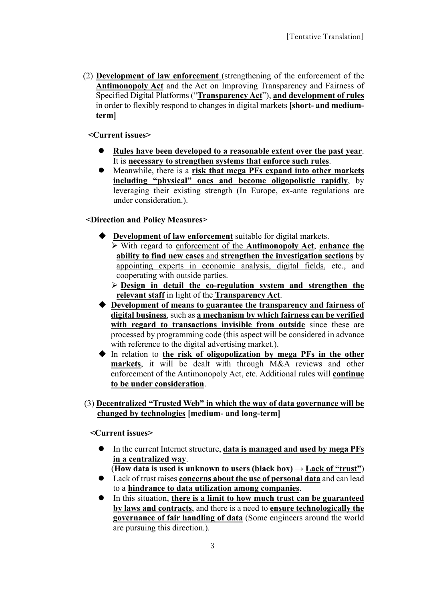(2) **Development of law enforcement** (strengthening of the enforcement of the **Antimonopoly Act** and the Act on Improving Transparency and Fairness of Specified Digital Platforms ("**Transparency Act**"), **and development of rules** in order to flexibly respond to changes in digital markets **[short- and mediumterm]**

## **<Current issues>**

- **Rules have been developed to a reasonable extent over the past year**. It is **necessary to strengthen systems that enforce such rules**.
- Meanwhile, there is a **risk that mega PFs expand into other markets including "physical" ones and become oligopolistic rapidly**, by leveraging their existing strength (In Europe, ex-ante regulations are under consideration.).

# **<Direction and Policy Measures>**

- **Development of law enforcement** suitable for digital markets. With regard to enforcement of the **Antimonopoly Act**, **enhance the ability to find new cases** and **strengthen the investigation sections** by appointing experts in economic analysis, digital fields, etc., and cooperating with outside parties.
	- **Design in detail the co-regulation system and strengthen the relevant staff** in light of the **Transparency Act**.
- **Development of means to guarantee the transparency and fairness of digital business**, such as **a mechanism by which fairness can be verified with regard to transactions invisible from outside** since these are processed by programming code (this aspect will be considered in advance with reference to the digital advertising market.).
- In relation to **the risk of oligopolization by mega PFs in the other markets**, it will be dealt with through M&A reviews and other enforcement of the Antimonopoly Act, etc. Additional rules will **continue to be under consideration**.

# (3) **Decentralized "Trusted Web" in which the way of data governance will be changed by technologies [medium- and long-term]**

**<Current issues>** 

 In the current Internet structure, **data is managed and used by mega PFs in a centralized way**.

(**How data is used is unknown to users (black box)**  $\rightarrow$  **<u>Lack of "trust"</u>)** 

- Lack of trust raises **concerns about the use of personal data** and can lead to a **hindrance to data utilization among companies**.
- In this situation, **there is a limit to how much trust can be guaranteed by laws and contracts**, and there is a need to **ensure technologically the governance of fair handling of data** (Some engineers around the world are pursuing this direction.).